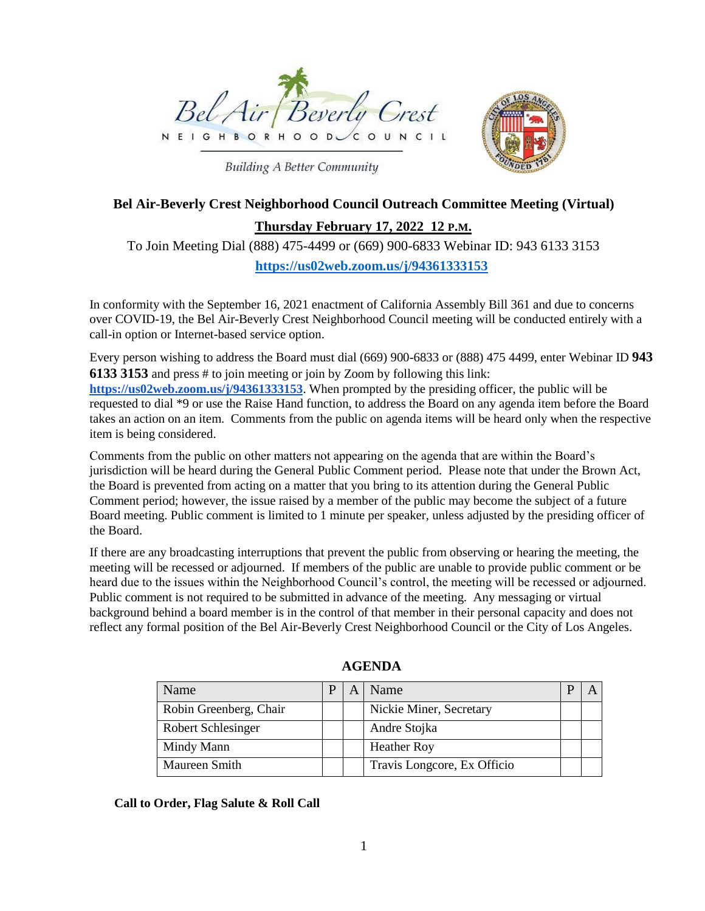



# **Building A Better Community**

# **Bel Air-Beverly Crest Neighborhood Council Outreach Committee Meeting (Virtual)**

## **Thursday February 17, 2022 12 P.M.**

To Join Meeting Dial (888) 475-4499 or (669) 900-6833 Webinar ID: 943 6133 3153 **<https://us02web.zoom.us/j/94361333153>**

In conformity with the September 16, 2021 enactment of California Assembly Bill 361 and due to concerns over COVID-19, the Bel Air-Beverly Crest Neighborhood Council meeting will be conducted entirely with a call-in option or Internet-based service option.

Every person wishing to address the Board must dial (669) 900-6833 or (888) 475 4499, enter Webinar ID **943 6133 3153** and press # to join meeting or join by Zoom by following this link: **https://us02web.zoom.us/j/94361333153**. When prompted by the presiding officer, the public will be requested to dial \*9 or use the Raise Hand function, to address the Board on any agenda item before the Board takes an action on an item. Comments from the public on agenda items will be heard only when the respective item is being considered.

Comments from the public on other matters not appearing on the agenda that are within the Board's jurisdiction will be heard during the General Public Comment period. Please note that under the Brown Act, the Board is prevented from acting on a matter that you bring to its attention during the General Public Comment period; however, the issue raised by a member of the public may become the subject of a future Board meeting. Public comment is limited to 1 minute per speaker, unless adjusted by the presiding officer of the Board.

If there are any broadcasting interruptions that prevent the public from observing or hearing the meeting, the meeting will be recessed or adjourned. If members of the public are unable to provide public comment or be heard due to the issues within the Neighborhood Council's control, the meeting will be recessed or adjourned. Public comment is not required to be submitted in advance of the meeting. Any messaging or virtual background behind a board member is in the control of that member in their personal capacity and does not reflect any formal position of the Bel Air-Beverly Crest Neighborhood Council or the City of Los Angeles.

| Name                   |  | Name                        |  |
|------------------------|--|-----------------------------|--|
| Robin Greenberg, Chair |  | Nickie Miner, Secretary     |  |
| Robert Schlesinger     |  | Andre Stojka                |  |
| Mindy Mann             |  | <b>Heather Roy</b>          |  |
| Maureen Smith          |  | Travis Longcore, Ex Officio |  |

**AGENDA**

**Call to Order, Flag Salute & Roll Call**